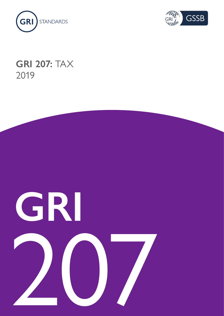



## **GRI 207:** TAX 2019

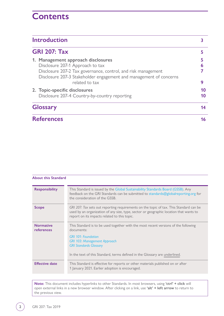## **Contents**

| <b>Introduction</b><br><b>GRI 207: Tax</b>                                     |    |
|--------------------------------------------------------------------------------|----|
|                                                                                |    |
| 2. Topic-specific disclosures<br>Disclosure 207-4 Country-by-country reporting | 10 |
| <b>Glossary</b>                                                                |    |
| <b>References</b>                                                              | 16 |

| <b>About this Standard</b>     |                                                                                                                                                                                                                                                                                        |
|--------------------------------|----------------------------------------------------------------------------------------------------------------------------------------------------------------------------------------------------------------------------------------------------------------------------------------|
| <b>Responsibility</b>          | This Standard is issued by the Global Sustainability Standards Board (GSSB). Any<br>feedback on the GRI Standards can be submitted to standards@globalreporting.org for<br>the consideration of the GSSB.                                                                              |
| <b>Scope</b>                   | GRI 207: Tax sets out reporting requirements on the topic of tax. This Standard can be<br>used by an organization of any size, type, sector or geographic location that wants to<br>report on its impacts related to this topic.                                                       |
| <b>Normative</b><br>references | This Standard is to be used together with the most recent versions of the following<br>documents:<br><b>GRI 101: Foundation</b><br><b>GRI 103: Management Approach</b><br><b>GRI Standards Glossary</b><br>In the text of this Standard, terms defined in the Glossary are underlined. |
| <b>Effective date</b>          | This Standard is effective for reports or other materials published on or after<br>1 January 2021. Earlier adoption is encouraged.                                                                                                                                                     |

**Note:** This document includes hyperlinks to other Standards. In most browsers, using **'ctrl' + click** will open external links in a new browser window. After clicking on a link, use **'alt' + left arrow** to return to the previous view.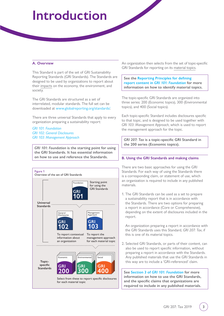# <span id="page-2-0"></span>**Introduction**

#### **A. Overview**

This Standard is part of the set of GRI Sustainability Reporting Standards (GRI Standards). The Standards are designed to be used by organizations to report about their [impacts](#page-13-1) on the economy, the environment, and society.

The GRI Standards are structured as a set of interrelated, modular standards. The full set can be downloaded at [www.globalreporting.org/standards/.](http://www.globalreporting.org/standards/)

There are three universal Standards that apply to every organization preparing a sustainability report:

*[GRI 101: Foundation](https://www.globalreporting.org/standards/media/1036/gri-101-foundation-2016.pdf) [GRI 102: General Disclosures](https://www.globalreporting.org/standards/media/1037/gri-102-general-disclosures-2016.pdf) [GRI 103: Management Approach](https://www.globalreporting.org/standards/media/1038/gri-103-management-approach-2016.pdf)*

*GRI 101: Foundation* **is the starting point for using the GRI Standards. It has essential information on how to use and reference the Standards.** 



An organization then selects from the set of topic-specific GRI Standards for reporting on its [material topics.](#page-13-2)

#### **See the [Reporting Principles for defining](https://www.globalreporting.org/standards/media/1036/gri-101-foundation-2016.pdf#page=8)  report content in** *[GRI 101: Foundation](https://www.globalreporting.org/standards/media/1036/gri-101-foundation-2016.pdf#page=8)* **for more information on how to identify material topics.**

The topic-specific GRI Standards are organized into three series: 200 (Economic topics), 300 (Environmental topics), and 400 (Social topics).

Each topic-specific Standard includes disclosures specific to that topic, and is designed to be used together with *GRI 103: Management Approach*, which is used to report the management approach for the topic.

*GRI 207: Tax* **is a topic-specific GRI Standard in the 200 series (Economic topics).**

#### **B. Using the GRI Standards and making claims**

There are two basic approaches for using the GRI Standards. For each way of using the Standards there is a corresponding claim, or statement of use, which an organization is required to include in any published materials.

1. The GRI Standards can be used as a set to prepare a sustainability report that is in accordance with the Standards. There are two options for preparing a report in accordance (Core or Comprehensive), depending on the extent of disclosures included in the report.

An organization preparing a report in accordance with the GRI Standards uses this Standard, *GRI 207: Tax*, if this is one of its material topics.

2. Selected GRI Standards, or parts of their content, can also be used to report specific information, without preparing a report in accordance with the Standards. Any published materials that use the GRI Standards in this way are to include a 'GRI-referenced' claim.

**See Section 3 of** *[GRI 101: Foundation](https://www.globalreporting.org/standards/media/1036/gri-101-foundation-2016.pdf#page=21)* **for more information on how to use the GRI Standards, and the specific claims that organizations are required to include in any published materials.**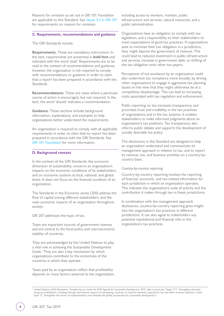Reasons for omission as set out in *GRI 101: Foundation* are applicable to this Standard. See [clause 3.2 in](https://www.globalreporting.org/standards/media/1036/gri-101-foundation-2016.pdf#page=24) *GRI 101* for requirements on reasons for omission.

#### **C. Requirements, recommendations and guidance**

The GRI Standards include:

**Requirements.** These are mandatory instructions. In the text, requirements are presented in **bold font** and indicated with the word 'shall'. Requirements are to be read in the context of recommendations and guidance; however, the organization is not required to comply with recommendations or guidance in order to claim that a report has been prepared in accordance with the Standards.

**Recommendations.** These are cases where a particular course of action is encouraged, but not required. In the text, the word 'should' indicates a recommendation.

**Guidance.** These sections include background information, explanations, and examples to help organizations better understand the requirements.

An organization is required to comply with all applicable requirements in order to claim that its report has been prepared in accordance with the GRI Standards. See *[GRI 101: Foundation](https://www.globalreporting.org/standards/media/1036/gri-101-foundation-2016.pdf#page=21)* for more information.

#### **D. Background context**

In the context of the GRI Standards, the economic dimension of sustainability concerns an organization's impacts on the economic conditions of its stakeholders, and on economic systems at local, national, and global levels. It does not focus on the financial condition of an organization.

The Standards in the Economic series (200) address the flow of capital among different stakeholders, and the main economic impacts of an organization throughout society.

*GRI 207* addresses the topic of tax.

Taxes are important sources of government revenue and are central to the fiscal policy and macroeconomic stability of countries.

They are acknowledged by the United Nations to play a vital role in achieving the Sustainable Development Goals.1 They are also a key mechanism by which organizations contribute to the economies of the countries in which they operate.

Taxes paid by an organization reflect that profitability depends on many factors external to the organization, including access to workers, markets, public infrastructure and services, natural resources, and a public administration.

Organizations have an obligation to comply with tax legislation, and a responsibility to their stakeholders to meet expectations of good tax practices. If organizations seek to minimize their tax obligation in a jurisdiction, they might deprive the government of revenue. This could lead to reduced investment in public infrastructure and services, increase in government debt, or shifting of the tax obligation onto other tax payers.

Perceptions of tax avoidance by an organization could also undermine tax compliance more broadly, by driving other organizations to engage in aggressive tax planning based on the view that they might otherwise be at a competitive disadvantage. This can lead to increasing costs associated with tax regulation and enforcement.

Public reporting on tax increases transparency and promotes trust and credibility in the tax practices of organizations and in the tax systems. It enables stakeholders to make informed judgments about an organization's tax positions. Tax transparency also informs public debate and supports the development of socially desirable tax policy.

The disclosures in this Standard are designed to help an organization understand and communicate its management approach in relation to tax, and to report its revenue, tax, and business activities on a country-bycountry basis.

#### *Country-by-country reporting*

Country-by-country reporting involves the reporting of financial, economic, and tax-related information for each jurisdiction in which an organization operates. This indicates the organization's scale of activity and the contribution it makes through tax in these jurisdictions.

In combination with the management approach disclosures, country-by-country reporting gives insight into the organization's tax practices in different jurisdictions. It can also signal to stakeholders any potential reputational and financial risks in the organization's tax practices.

1 United Nations (UN) Resolution, *Transforming our world: the 2030 Agenda for Sustainable Development*, 2015. (See in particular Target 17.1: 'Strengthen domestic resource mobilization, including through international support to developing countries, to improve domestic capacity for tax and other revenue collection,' under Goal 17: 'Strengthen the means of implementation and revitalize the global partnership for sustainable development.')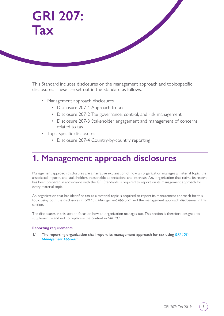<span id="page-4-0"></span>

This Standard includes disclosures on the management approach and topic-specific disclosures. These are set out in the Standard as follows:

- Management approach disclosures
	- Disclosure 207-1 Approach to tax
	- Disclosure 207-2 Tax governance, control, and risk management
	- Disclosure 207-3 Stakeholder engagement and management of concerns related to tax
- Topic-specific disclosures
	- Disclosure 207-4 Country-by-country reporting

## **1. Management approach disclosures**

Management approach disclosures are a narrative explanation of how an organization manages a material topic, the associated impacts, and stakeholders' reasonable expectations and interests. Any organization that claims its report has been prepared in accordance with the GRI Standards is required to report on its management approach for every material topic.

An organization that has identified tax as a material topic is required to report its management approach for this topic using both the disclosures in *GRI 103: Management Approach* and the management approach disclosures in this section.

The disclosures in this section focus on how an organization manages tax. This section is therefore designed to supplement – and not to replace – the content in *GRI 103*.

#### **Reporting requirements**

**1.1** The reporting organization shall report its management approach for tax using *GRI 103*: *[Management Approach](https://www.globalreporting.org/standards/media/1038/gri-103-management-approach-2016.pdf)***.**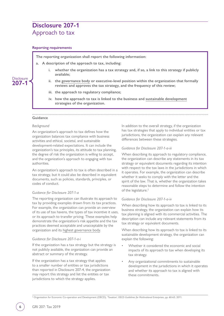## <span id="page-5-0"></span>**Disclosure 207-1** Approach to tax

#### **Reporting requirements**

**The reporting organization shall report the following information:**

- **a. A description of the approach to tax, including:**
	- **i. whether the organization has a tax strategy and, if so, a link to this strategy if publicly available;**
	- **ii. the [governance body](#page-13-4) or executive-level position within the organization that formally reviews and approves the tax strategy, and the frequency of this review;**
	- **iii. the approach to regulatory compliance;**
	- **iv. how the approach to tax is linked to the business and [sustainable development](#page-14-0) strategies of the organization.**

#### **Guidance**

**Disclosure 207-1**

#### *Background*

An organization's approach to tax defines how the organization balances tax compliance with business activities and ethical, societal, and sustainable development-related expectations. It can include the organization's tax principles, its attitude to tax planning, the degree of risk the organization is willing to accept, and the organization's approach to engaging with tax authorities.

An organization's approach to tax is often described in a tax strategy, but it could also be described in equivalent documents, such as policies, standards, principles, or codes of conduct.

#### *Guidance for Disclosure 207-1-a*

The reporting organization can illustrate its approach to tax by providing examples drawn from its tax practices. For example, the organization can provide an overview of its use of tax havens, the types of tax incentive it uses, or its approach to transfer pricing. These examples help demonstrate the organization's risk appetite and the tax practices deemed acceptable and unacceptable by the organization and its [highest governance body.](#page-13-3)

#### *Guidance for Disclosure 207-1-a-i*

If the organization has a tax strategy but the strategy is not publicly available, the organization can provide an abstract or summary of the strategy.

If the organization has a tax strategy that applies to a smaller number of entities or tax jurisdictions than reported in Disclosure 207-4, the organization may report this strategy and list the entities or tax jurisdictions to which the strategy applies.

In addition to the overall strategy, if the organization has tax strategies that apply to individual entities or tax jurisdictions, the organization can explain any relevant differences between these strategies.

#### *Guidance for Disclosure 207-1-a-iii*

When describing its approach to regulatory compliance, the organization can describe any statements in its tax strategy or equivalent documents regarding its intention with respect to the tax laws in the jurisdictions in which it operates. For example, the organization can describe whether it seeks to comply with the letter and the spirit of the law. That is, whether the organization takes reasonable steps to determine and follow the intention of the legislature.<sup>2</sup>

#### *Guidance for Disclosure 207-1-a-iv*

When describing how its approach to tax is linked to its business strategy, the organization can explain how its tax planning is aligned with its commercial activities. The description can include any relevant statements from its tax strategy or equivalent documents.

When describing how its approach to tax is linked to its sustainable development strategy, the organization can explain the following:

- Whether it considered the economic and social impacts of its approach to tax when developing its tax strategy.
- Any organizational commitments to sustainable development in the jurisdictions in which it operates and whether its approach to tax is aligned with these commitments.

2 Organisation for Economic Co-operation and Development (OECD), 'Taxation', *OECD Guidelines for Multinational Enterprises*, pp. 60-63, 2011.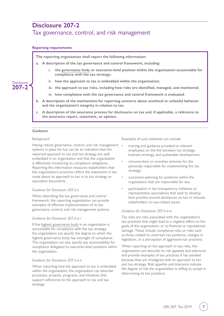## <span id="page-6-0"></span>**Disclosure 207-2**

### Tax governance, control, and risk management

#### **Reporting requirements**

**The reporting organization shall report the following information:**

- **a. A description of the tax governance and control framework, including:**
	- **i. the [governance body](#page-13-4) or executive-level position within the organization accountable for compliance with the tax strategy;**
	- how the approach to tax is embedded within the organization;
	- **iii. the approach to tax risks, including how risks are identified, managed, and monitored;**
	- **iv. how compliance with the tax governance and control framework is evaluated.**
- **b. A description of the mechanisms for reporting concerns about unethical or unlawful behavior and the organization's integrity in relation to tax.**
- **c. A description of the assurance process for disclosures on tax and, if applicable, a reference to the assurance report, statement, or opinion.**

#### **Guidance**

#### *Background*

Having robust governance, control, and risk management . systems in place for tax can be an indication that the reported approach to tax and tax strategy are well embedded in an organization and that the organization is effectively monitoring its compliance obligations. Reporting this information reassures stakeholders that the organization's practices reflect the statements it has made about its approach to tax in its tax strategy or equivalent documents.

#### *Guidance for Disclosure 207-2-a*

When describing the tax governance and control framework, the reporting organization can provide examples of effective implementation of its tax governance, control, and risk management systems.

#### *Guidance for Disclosure 207-2-a-i*

If the [highest governance body](#page-13-3) in an organization is accountable for compliance with the tax strategy, the organization can specify the degree to which the highest governance body has oversight of compliance. The organization can also specify any accountability for compliance delegated to executive-level positions within the organization.

#### *Guidance for Disclosure 207-2-a-ii*

When reporting how the approach to tax is embedded within the organization, the organization can describe processes, projects, programs, and initiatives that support adherence to the approach to tax and tax strategy.

Examples of such initiatives can include:

- training and guidance provided to relevant employees on the link between tax strategy, business strategy, and sustainable development;
- remuneration or incentive schemes for the person(s) responsible for implementing the tax strategy;
- succession-planning for positions within the organization that are responsible for tax;
- participation in tax transparency initiatives or representative associations that seek to develop best practice around disclosures on tax or educate stakeholders on tax-related issues.

#### *Guidance for Disclosure 207-2-a-iii*

Tax risks are risks associated with the organization's tax practices that might lead to a negative effect on the goals of the organization, or to financial or reputational damage. These include compliance risks or risks such as those related to uncertain tax positions, changes in legislation, or a perception of aggressive tax practices.

When reporting on the approach to tax risks, the organization can describe its risk appetite and tolerance and provide examples of tax practices it has avoided because they are misaligned with its approach to tax and tax strategy. Risk appetite and tolerance indicate the degree of risk the organization is willing to accept in determining its tax positions.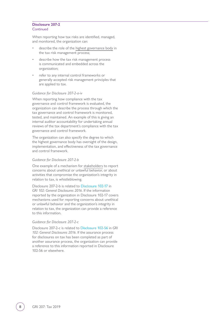#### **Disclosure 207-2 Continued**

When reporting how tax risks are identified, managed, and monitored, the organization can:

- describe the role of the [highest governance body](#page-13-3) in the tax risk management process;
- describe how the tax risk management process is communicated and embedded across the organization;
- refer to any internal control frameworks or generally accepted risk management principles that are applied to tax.

#### *Guidance for Disclosure 207-2-a-iv*

When reporting how compliance with the tax governance and control framework is evaluated, the organization can describe the process through which the tax governance and control framework is monitored, tested, and maintained. An example of this is giving an internal auditor accountability for undertaking annual reviews of the tax department's compliance with the tax governance and control framework.

The organization can also specify the degree to which the highest governance body has oversight of the design, implementation, and effectiveness of the tax governance and control framework.

#### *Guidance for Disclosure 207-2-b*

One example of a mechanism for [stakeholders](#page-14-1) to report concerns about unethical or unlawful behavior, or about activities that compromise the organization's integrity in relation to tax, is whistleblowing.

Disclosure 207-2-b is related to [Disclosure 102-17](https://www.globalreporting.org/standards/media/1037/gri-102-general-disclosures-2016.pdf#page=17) in *GRI 102: General Disclosures 2016*. If the information reported by the organization in Disclosure 102-17 covers mechanisms used for reporting concerns about unethical or unlawful behavior and the organization's integrity in relation to tax, the organization can provide a reference to this information.

#### *Guidance for Disclosure 207-2-c*

Disclosure 207-2-c is related to [Disclosure 102-56](https://www.globalreporting.org/standards/media/1037/gri-102-general-disclosures-2016.pdf#page=41) in *GRI 102: General Disclosures 2016*. If the assurance process for disclosures on tax has been completed as part of another assurance process, the organization can provide a reference to this information reported in Disclosure 102-56 or elsewhere.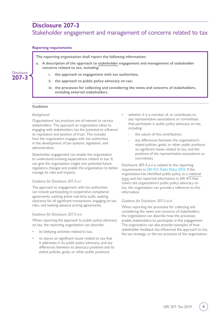### <span id="page-8-0"></span>**Disclosure 207-3**

## Stakeholder engagement and management of concerns related to tax

#### **Reporting requirements**

**The reporting organization shall report the following information:**

- **a. A description of the approach to [stakeholder](#page-14-1) engagement and management of stakeholder concerns related to tax, including:**
	- **i. the approach to engagement with tax authorities;**
	- the approach to public policy advocacy on tax;
	- **iii. the processes for collecting and considering the views and concerns of stakeholders, including external stakeholders.**

#### **Guidance**

**Disclosure 207-3**

#### *Background*

Organizations' tax practices are of interest to various stakeholders. The approach an organization takes to engaging with stakeholders has the potential to influence its reputation and position of trust. This includes how the organization engages with tax authorities in the development of tax systems, legislation, and administration.

Stakeholder engagement can enable the organization to understand evolving expectations related to tax. It can give the organization insight into potential future regulatory changes and enable the organization to better manage its risks and impacts.

#### *Guidance for Disclosure 207-3-a-i*

The approach to engagement with tax authorities can include participating in cooperative compliance agreements, seeking active real-time audit, seeking clearance for all significant transactions, engaging on tax risks, and seeking advance pricing agreements.

#### *Guidance for Disclosure 207-3-a-ii*

When reporting the approach to public policy advocacy on tax, the reporting organization can describe:

- its lobbying activities related to tax;
- its stance on significant issues related to tax that it addresses in its public policy advocacy, and any differences between its advocacy positions and its stated policies, goals, or other public positions;
- whether it is a member of, or contributes to, any representative associations or committees that participate in public policy advocacy on tax, including:
	- the nature of this contribution:
	- any differences between the organization's stated policies, goals, or other public positions on significant issues related to tax, and the positions of the representative associations or committees.

Disclosure 207-3-a-ii is related to the reporting requirements in *[GRI 415: Public Policy 2016](https://www.globalreporting.org/standards/media/1030/gri-415-public-policy-2016.pdf)*. If the organization has identified public policy as a [material](#page-13-2)  [topic](#page-13-2) and has reported information in *GRI 415* that covers the organization's public policy advocacy on tax, the organization can provide a reference to this information.

#### *Guidance for Disclosure 207-3-a-iii*

When reporting the processes for collecting and considering the views and concerns of stakeholders, the organization can describe how the processes enable stakeholders to participate in this engagement. The organization can also provide examples of how stakeholder feedback has influenced the approach to tax, the tax strategy, or the tax practices of the organization.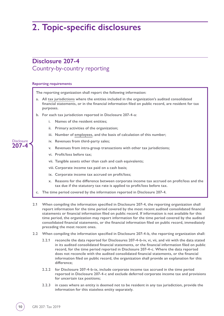## <span id="page-9-0"></span>**2. Topic-specific disclosures**

### **Disclosure 207-4** Country-by-country reporting

#### **Reporting requirements**



**2.2.2 for Disclosure 207-4-b-ix, include corporate income tax accrued in the time period reported in Disclosure 207-4-c and exclude deferred corporate income tax and provisions for uncertain tax positions;**

**information filed on public record, the organization shall provide an explanation for this** 

**2.2.3 in cases where an entity is deemed not to be resident in any tax jurisdiction, provide the information for this stateless entity separately.**

**difference;**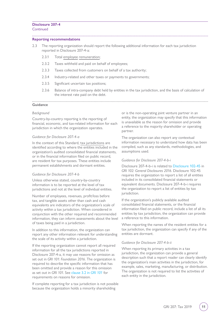#### **Disclosure 207-4 Continued**

## **Reporting recommendations**

- 2.3 The reporting organization should report the following additional information for each tax jurisdiction reported in Disclosure 207-4-a:
	- 2.3.1 Total [employee](#page-13-5) [remuneration;](#page-13-6)
	- 2.3.2 Taxes withheld and paid on behalf of employees;
	- 2.3.3 Taxes collected from customers on behalf of a tax authority;
	- 2.3.4 Industry-related and other taxes or payments to governments;
	- 2.3.5 Significant uncertain tax positions;
	- 2.3.6 Balance of intra-company debt held by entities in the tax jurisdiction, and the basis of calculation of the interest rate paid on the debt.

#### **Guidance**

#### *Background*

Country-by-country reporting is the reporting of financial, economic, and tax-related information for each jurisdiction in which the organization operates.

#### *Guidance for Disclosure 207-4-a*

In the context of this Standard, [tax jurisdictions](#page-14-2) are identified according to where the entities included in the organization's audited consolidated financial statements, or in the financial information filed on public record, are resident for tax purposes. These entities include permanent establishments and dormant entities.

#### *Guidance for Disclosure 207-4-b*

Unless otherwise stated, country-by-country information is to be reported at the level of tax jurisdictions and not at the level of individual entities.

Number of employees, revenues, profit/loss before tax, and tangible assets other than cash and cash equivalents are indicators of the organization's scale of activity within a tax jurisdiction. When considered in conjunction with the other required and recommended information, they can inform assessments about the level of taxes being paid in a jurisdiction.

In addition to this information, the organization can report any other information relevant for understanding the scale of its activity within a jurisdiction.

If the reporting organization cannot report all required information for all the tax jurisdictions reported in Disclosure 207-4-a, it may use reasons for omission as set out in *GRI 101: Foundation 2016*. The organization is required to describe the specific information that has been omitted and provide a reason for this omission as set out in *GRI 101*. See [clause 3.2 in](https://www.globalreporting.org/standards/media/1036/gri-101-foundation-2016.pdf#page=24) *GRI 101* for requirements on reasons for omission.

If complete reporting for a tax jurisdiction is not possible because the organization holds a minority shareholding

or is the non-operating joint venture partner in an entity, the organization may specify that this information is unavailable as the reason for omission and provide a reference to the majority shareholder or operating partner.

The organization can also report any contextual information necessary to understand how data has been compiled, such as any standards, methodologies, and assumptions used.

#### *Guidance for Disclosure 207-4-b-i*

Disclosure 207-4-b-i is related to [Disclosure 102-45](https://www.globalreporting.org/standards/media/1037/gri-102-general-disclosures-2016.pdf#page=33) in *GRI 102: General Disclosures 2016*. Disclosure 102-45 requires the organization to report a list of all entities included in its consolidated financial statements or equivalent documents. Disclosure 207-4-b-i requires the organization to report a list of entities by tax jurisdiction.

If the organization's publicly available audited consolidated financial statements, or the financial information filed on public record, include a list of all its entities by tax jurisdiction, the organization can provide a reference to this information.

When reporting the names of the resident entities for a tax jurisdiction, the organization can specify if any of the entities are dormant.

#### *Guidance for Disclosure 207-4-b-ii*

When reporting its primary activities in a tax jurisdiction, the organization can provide a general description such that a report reader can clearly identify the organization's main activities in the jurisdiction, for example, sales, marketing, manufacturing, or distribution. The organization is not required to list the activities of each entity in the jurisdiction.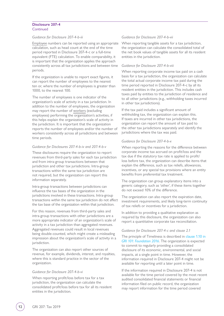#### **Disclosure 207-4 Continued**

#### *Guidance for Disclosure 207-4-b-iii*

[Employee](#page-13-5) numbers can be reported using an appropriate calculation, such as head count at the end of the time period reported in Disclosure 207-4-c or a full-time equivalent (FTE) calculation. To enable comparability, it is important that the organization applies the approach consistently across all tax jurisdictions and between time periods.

If the organization is unable to report exact figures, it can report the number of employees to the nearest ten or, where the number of employees is greater than 1000, to the nearest 100.

The number of employees is one indicator of the organization's scale of activity in a tax jurisdiction. In addition to the number of employees, the organization may report the number of [workers](#page-14-3) (excluding employees) performing the organization's activities, if this helps explain the organization's scale of activity in the jurisdiction. It is important that the organization reports the number of employees and/or the number of workers consistently across all jurisdictions and between time periods.

#### *Guidance for Disclosures 207-4-b-iv and 207-4-b-v*

These disclosures require the organization to report revenues from third-party sales for each tax jurisdiction and from intra-group transactions between that jurisdiction and other tax jurisdictions. Intra-group transactions within the same tax jurisdiction are not required, but the organization can report this information separately.

Intra-group transactions between jurisdictions can influence the tax bases of the organization in the jurisdictions involved in these transactions. Intra-group transactions within the same tax jurisdiction do not affect the tax base of the organization within that jurisdiction.

For this reason, revenues from third-party sales and intra-group transactions with other jurisdictions are a more appropriate indicator of an organization's scale of activity in a tax jurisdiction than aggregated revenues. Aggregated revenues could result in local revenues being double-counted, which might create a misleading impression about the organization's scale of activity in a jurisdiction.

The organization can also report other sources of revenue, for example, dividends, interest, and royalties, where this is standard practice in the sector of the organization.

#### *Guidance for Disclosure 207-4-b-vi*

When reporting profit/loss before tax for a tax jurisdiction, the organization can calculate the consolidated profit/loss before tax for all its resident entities in the jurisdiction.

#### *Guidance for Disclosure 207-4-b-vii*

When reporting tangible assets for a tax jurisdiction, the organization can calculate the consolidated total of the net book values of tangible assets for all its resident entities in the jurisdiction.

#### *Guidance for Disclosure 207-4-b-viii*

When reporting corporate income tax paid on a cash basis for a tax jurisdiction, the organization can calculate the total actual corporate income tax paid during the time period reported in Disclosure 207-4-c by all its resident entities in the jurisdiction. This includes cash taxes paid by entities to the jurisdiction of residence and to all other jurisdictions (e.g., withholding taxes incurred in other tax jurisdictions).

If the tax paid includes a significant amount of withholding tax, the organization can explain this. If taxes are incurred in other tax jurisdictions, the organization can report the amount of tax paid to the other tax jurisdictions separately and identify the jurisdictions where the tax was paid.

#### *Guidance for Disclosure 207-4-b-x*

When reporting the reasons for the difference between corporate income tax accrued on profit/loss and the tax due if the statutory tax rate is applied to profit/ loss before tax, the organization can describe items that explain the difference, such as tax reliefs, allowances, incentives, or any special tax provisions where an entity benefits from preferential tax treatment.

The organization can group explanatory items into a generic category, such as 'other', if these items together do not exceed 10% of the difference.

The organization can also report the expiration date, investment requirements, and likely long-term continuity of tax reliefs or incentives for a jurisdiction.

In addition to providing a qualitative explanation as required by this disclosure, the organization can also report a quantitative corporate tax reconciliation.

#### *Guidance for Disclosure 207-4-c and clause 2.1*

The principle of Timeliness is described in [clause 1.10 in](https://www.globalreporting.org/standards/media/1036/gri-101-foundation-2016.pdf#page=16)  *[GRI 101: Foundation 2016](https://www.globalreporting.org/standards/media/1036/gri-101-foundation-2016.pdf#page=16)*. The organization is expected to commit to regularly providing a consolidated disclosure of its economic, environmental, and social impacts, at a single point in time. However, the information required in Disclosure 207-4 might not be available for reporting until a later point in time.

If the information required in Disclosure 207-4 is not available for the time period covered by the most recent audited consolidated financial statements or financial information filed on public record, the organization may report information for the time period covered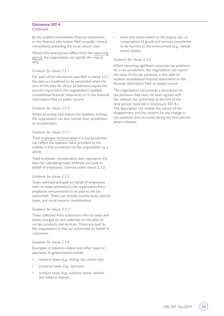#### **Disclosure 207-4 Continued**

by the audited consolidated financial statements, or the financial information filed on public record, immediately preceding the most recent ones.

Where this time period differs from the [reporting](#page-14-4)  [period](#page-14-4), the organization can specify the reason why.

#### *Guidance for clause 2.2.1*

For each of the disclosures specified in clause 2.2.1, the data is considered to be reconciled when the sum of this data for all tax jurisdictions equals the amount reported in the organization's audited consolidated financial statements or in the financial information filed on public record.

#### *Guidance for clause 2.2.3*

When providing information for stateless entities, the organization can also include their jurisdiction of incorporation.

#### *Guidance for clause 2.3.1*

Total [employee](#page-13-5) [remuneration](#page-13-6) in a tax jurisdiction can reflect the business value provided by the entities in that jurisdiction to the organization as a whole.

Total employee remuneration also represents the basis for calculating taxes withheld and paid on behalf of employees, covered under clause 2.3.2.

#### *Guidance for clause 2.3.2*

Taxes withheld and paid on behalf of employees refer to taxes withheld by the organization from employee remuneration to be paid to the tax authorities. These can include income taxes, payroll taxes, and social security contributions.

#### *Guidance for clause 2.3.3*

Taxes collected from customers refer to taxes and duties charged on and collected on the sales of certain products and services. These are paid by the organization to the tax authorities on behalf of customers.

#### *Guidance for clause 2.3.4*

Examples of industry-related and other taxes or payments to governments include:

- industry taxes (e.g., energy tax, airline tax);
- property taxes (e.g., land tax);
- product taxes (e.g., customs duties, alcohol and tobacco duties);

taxes and duties levied on the supply, use, or consumption of goods and services considered to be harmful to the environment (e.g., vehicle excise duties).

#### *Guidance for clause 2.3.5*

When reporting significant uncertain tax positions for a tax jurisdiction, the organization can report the value of the tax positions in line with its audited consolidated financial statements or the financial information filed on public record.

The organization can provide a description of tax positions that have not been agreed with the relevant tax authorities at the end of the time period reported in Disclosure 207-4-c. The description can include the nature of the disagreement and the reasons for any change in tax positions that occurred during the time period, where relevant.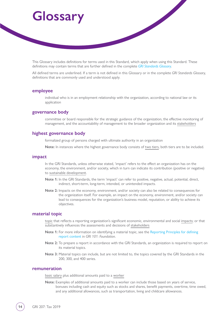# <span id="page-13-0"></span>**Glossary**

This Glossary includes definitions for terms used in this Standard, which apply when using this Standard. These definitions may contain terms that are further defined in the complete *[GRI Standards Glossary](https://www.globalreporting.org/standards/media/1913/gri-standards-glossary.pdf)*.

All defined terms are underlined. If a term is not defined in this Glossary or in the complete *GRI Standards Glossary*, definitions that are commonly used and understood apply.

#### <span id="page-13-5"></span>**employee**

individual who is in an employment relationship with the organization, according to national law or its application

#### <span id="page-13-4"></span>**governance body**

committee or board responsible for the strategic guidance of the organization, the effective monitoring of management, and the accountability of management to the broader organization and its [stakeholders](#page-14-1)

#### <span id="page-13-3"></span>**highest governance body**

formalized group of persons charged with ultimate authority in an organization

**Note:** In instances where the highest governance body consists of [two tiers,](https://www.globalreporting.org/standards/media/1913/gri-standards-glossary.pdf) both tiers are to be included.

#### <span id="page-13-1"></span>**impact**

In the GRI Standards, unless otherwise stated, 'impact' refers to the effect an organization has on the economy, the environment, and/or society, which in turn can indicate its contribution (positive or negative) to [sustainable development.](#page-14-0)

- **Note 1:** In the GRI Standards, the term 'impact' can refer to positive, negative, actual, potential, direct, indirect, short-term, long-term, intended, or unintended impacts.
- **Note 2:** Impacts on the economy, environment, and/or society can also be related to consequences for the organization itself. For example, an impact on the economy, environment, and/or society can lead to consequences for the organization's business model, reputation, or ability to achieve its objectives.

#### <span id="page-13-2"></span>**material topic**

[topic](https://www.globalreporting.org/standards/media/1913/gri-standards-glossary.pdf) that reflects a reporting organization's significant economic, environmental and social [impacts](#page-13-1); or that substantively influences the assessments and decisions of [stakeholders](#page-14-1)

- **Note 1:** For more information on identifying a material topic, see the [Reporting Principles for defining](https://www.globalreporting.org/standards/media/1036/gri-101-foundation-2016.pdf#page=8)  [report content](https://www.globalreporting.org/standards/media/1036/gri-101-foundation-2016.pdf#page=8) in *GRI 101: Foundation*.
- **Note 2:** To prepare a report in accordance with the GRI Standards, an organization is required to report on its material topics.
- **Note 3:** Material topics can include, but are not limited to, the topics covered by the GRI Standards in the 200, 300, and 400 series.

#### <span id="page-13-6"></span>**remuneration**

[basic salary](https://www.globalreporting.org/standards/media/1913/gri-standards-glossary.pdf) plus additional amounts paid to a [worker](#page-14-3)

**Note:** Examples of additional amounts paid to a worker can include those based on years of service, bonuses including cash and equity such as stocks and shares, benefit payments, overtime, time owed, and any additional allowances, such as transportation, living and childcare allowances.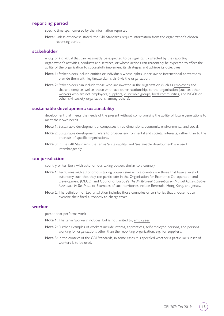#### <span id="page-14-4"></span>**reporting period**

specific time span covered by the information reported

**Note:** Unless otherwise stated, the GRI Standards require information from the organization's chosen reporting period.

#### <span id="page-14-1"></span>**stakeholder**

entity or individual that can reasonably be expected to be significantly affected by the reporting organization's activities, [products](https://www.globalreporting.org/standards/media/1913/gri-standards-glossary.pdf) and [services](https://www.globalreporting.org/standards/media/1913/gri-standards-glossary.pdf), or whose actions can reasonably be expected to affect the ability of the organization to successfully implement its strategies and achieve its objectives

- **Note 1:** Stakeholders include entities or individuals whose rights under law or international conventions provide them with legitimate claims vis-à-vis the organization.
- **Note 2:** Stakeholders can include those who are invested in the organization (such as [employees](#page-13-5) and shareholders), as well as those who have other relationships to the organization (such as other [workers](#page-14-3) who are not employees, [suppliers](https://www.globalreporting.org/standards/media/1913/gri-standards-glossary.pdf), [vulnerable groups](https://www.globalreporting.org/standards/media/1913/gri-standards-glossary.pdf), [local communities](https://www.globalreporting.org/standards/media/1913/gri-standards-glossary.pdf), and NGOs or other civil society organizations, among others).

#### <span id="page-14-0"></span>**sustainable development/sustainability**

development that meets the needs of the present without compromising the ability of future generations to meet their own needs

- **Note 1:** Sustainable development encompasses three dimensions: economic, environmental and social.
- **Note 2:** Sustainable development refers to broader environmental and societal interests, rather than to the interests of specific organizations.
- **Note 3:** In the GRI Standards, the terms 'sustainability' and 'sustainable development' are used interchangeably.

#### <span id="page-14-2"></span>**tax jurisdiction**

country or territory with autonomous taxing powers similar to a country

- **Note 1:** Territories with autonomous taxing powers similar to a country are those that have a level of autonomy such that they can participate in the Organisation for Economic Co-operation and Development (OECD) and Council of Europe's *The Multilateral Convention on Mutual Administrative Assistance in Tax Matters*. Examples of such territories include Bermuda, Hong Kong, and Jersey.
- **Note 2:** The definition for tax jurisdiction includes those countries or territories that choose not to exercise their fiscal autonomy to charge taxes.

#### <span id="page-14-3"></span>**worker**

person that performs work

- **Note 1:** The term 'workers' includes, but is not limited to, [employees.](#page-13-5)
- **Note 2:** Further examples of workers include interns, apprentices, self-employed persons, and persons working for organizations other than the reporting organization, e.g., for [suppliers](https://www.globalreporting.org/standards/media/1913/gri-standards-glossary.pdf).
- **Note 3:** In the context of the GRI Standards, in some cases it is specified whether a particular subset of workers is to be used.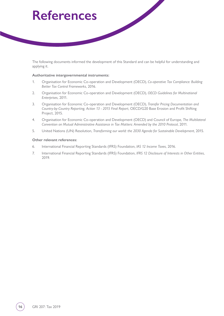# <span id="page-15-0"></span>**References**

The following documents informed the development of this Standard and can be helpful for understanding and applying it.

#### **Authoritative intergovernmental instruments:**

- 1. Organisation for Economic Co-operation and Development (OECD), *Co-operative Tax Compliance: Building Better Tax Control Frameworks*, 2016.
- 2. Organisation for Economic Co-operation and Development (OECD), *OECD Guidelines for Multinational Enterprises*, 2011.
- 3. Organisation for Economic Co-operation and Development (OECD), *Transfer Pricing Documentation and Country-by-Country Reporting, Action 13 - 2015 Final Report*, OECD/G20 Base Erosion and Profit Shifting Project, 2015.
- 4. Organisation for Economic Co-operation and Development (OECD) and Council of Europe, *The Multilateral Convention on Mutual Administrative Assistance in Tax Matters: Amended by the 2010 Protocol*, 2011.
- 5. United Nations (UN) Resolution, *Transforming our world: the 2030 Agenda for Sustainable Development*, 2015.

#### **Other relevant references:**

- 6. International Financial Reporting Standards (IFRS) Foundation, *IAS 12 Income Taxes*, 2016.
- 7. International Financial Reporting Standards (IFRS) Foundation, *IFRS 12 Disclosure of Interests in Other Entities*, 2019.